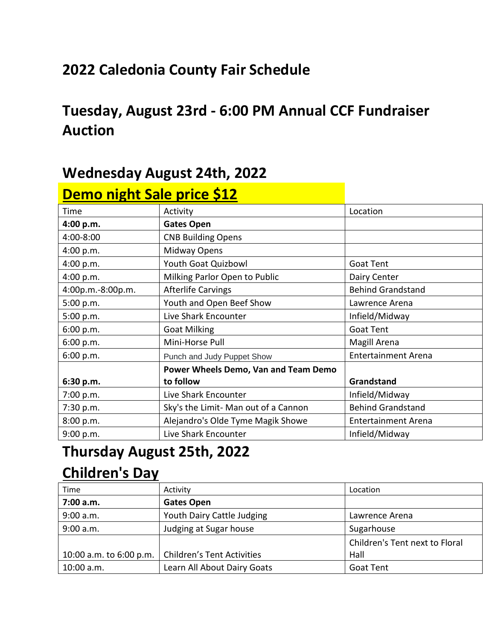## **2022 Caledonia County Fair Schedule**

## **Tuesday, August 23rd - 6:00 PM Annual CCF Fundraiser Auction**

#### **Wednesday August 24th, 2022**

| <b>Demo night Sale price \$12</b> |                                      |                            |
|-----------------------------------|--------------------------------------|----------------------------|
| Time                              | Activity                             | Location                   |
| 4:00 p.m.                         | <b>Gates Open</b>                    |                            |
| 4:00-8:00                         | <b>CNB Building Opens</b>            |                            |
| 4:00 p.m.                         | Midway Opens                         |                            |
| 4:00 p.m.                         | Youth Goat Quizbowl                  | Goat Tent                  |
| 4:00 p.m.                         | Milking Parlor Open to Public        | Dairy Center               |
| 4:00p.m.-8:00p.m.                 | <b>Afterlife Carvings</b>            | <b>Behind Grandstand</b>   |
| 5:00 p.m.                         | Youth and Open Beef Show             | Lawrence Arena             |
| 5:00 p.m.                         | Live Shark Encounter                 | Infield/Midway             |
| 6:00 p.m.                         | <b>Goat Milking</b>                  | Goat Tent                  |
| 6:00 p.m.                         | Mini-Horse Pull                      | Magill Arena               |
| 6:00 p.m.                         | Punch and Judy Puppet Show           | <b>Entertainment Arena</b> |
|                                   | Power Wheels Demo, Van and Team Demo |                            |
| 6:30 p.m.                         | to follow                            | Grandstand                 |
| 7:00 p.m.                         | Live Shark Encounter                 | Infield/Midway             |
| 7:30 p.m.                         | Sky's the Limit- Man out of a Cannon | <b>Behind Grandstand</b>   |
| 8:00 p.m.                         | Alejandro's Olde Tyme Magik Showe    | <b>Entertainment Arena</b> |
| 9:00 p.m.                         | Live Shark Encounter                 | Infield/Midway             |

### **Thursday August 25th, 2022**

### **Children's Day**

| Time       | Activity                                             | Location                       |
|------------|------------------------------------------------------|--------------------------------|
| 7:00 a.m.  | <b>Gates Open</b>                                    |                                |
| 9:00 a.m.  | Youth Dairy Cattle Judging                           | Lawrence Arena                 |
| 9:00 a.m.  | Judging at Sugar house                               | Sugarhouse                     |
|            |                                                      | Children's Tent next to Floral |
|            | 10:00 a.m. to 6:00 p.m.   Children's Tent Activities | Hall                           |
| 10:00 a.m. | Learn All About Dairy Goats                          | Goat Tent                      |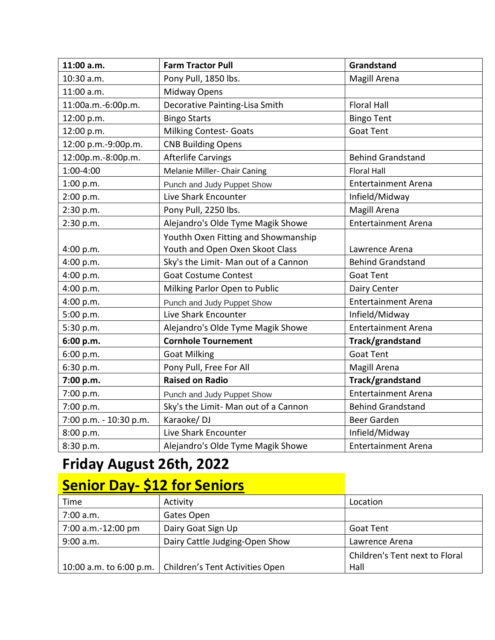| 11:00 a.m.             | <b>Farm Tractor Pull</b>             | Grandstand                 |
|------------------------|--------------------------------------|----------------------------|
| 10:30 a.m.             | Pony Pull, 1850 lbs.                 | Magill Arena               |
| 11:00 a.m.             | Midway Opens                         |                            |
| 11:00a.m.-6:00p.m.     | Decorative Painting-Lisa Smith       | <b>Floral Hall</b>         |
| 12:00 p.m.             | <b>Bingo Starts</b>                  | <b>Bingo Tent</b>          |
| 12:00 p.m.             | <b>Milking Contest- Goats</b>        | <b>Goat Tent</b>           |
| 12:00 p.m.-9:00p.m.    | <b>CNB Building Opens</b>            |                            |
| 12:00p.m.-8:00p.m.     | <b>Afterlife Carvings</b>            | <b>Behind Grandstand</b>   |
| 1:00-4:00              | Melanie Miller- Chair Caning         | <b>Floral Hall</b>         |
| 1:00 p.m.              | Punch and Judy Puppet Show           | <b>Entertainment Arena</b> |
| 2:00 p.m.              | Live Shark Encounter                 | Infield/Midway             |
| 2:30 p.m.              | Pony Pull, 2250 lbs.                 | Magill Arena               |
| 2:30 p.m.              | Alejandro's Olde Tyme Magik Showe    | <b>Entertainment Arena</b> |
|                        | Youthh Oxen Fitting and Showmanship  |                            |
| 4:00 p.m.              | Youth and Open Oxen Skoot Class      | Lawrence Arena             |
| 4:00 p.m.              | Sky's the Limit- Man out of a Cannon | <b>Behind Grandstand</b>   |
| 4:00 p.m.              | <b>Goat Costume Contest</b>          | <b>Goat Tent</b>           |
| 4:00 p.m.              | Milking Parlor Open to Public        | Dairy Center               |
| 4:00 p.m.              | Punch and Judy Puppet Show           | <b>Entertainment Arena</b> |
| 5:00 p.m.              | Live Shark Encounter                 | Infield/Midway             |
| 5:30 p.m.              | Alejandro's Olde Tyme Magik Showe    | <b>Entertainment Arena</b> |
| 6:00 p.m.              | <b>Cornhole Tournement</b>           | Track/grandstand           |
| 6:00 p.m.              | <b>Goat Milking</b>                  | <b>Goat Tent</b>           |
| 6:30 p.m.              | Pony Pull, Free For All              | Magill Arena               |
| 7:00 p.m.              | <b>Raised on Radio</b>               | Track/grandstand           |
| 7:00 p.m.              | Punch and Judy Puppet Show           | <b>Entertainment Arena</b> |
| 7:00 p.m.              | Sky's the Limit- Man out of a Cannon | <b>Behind Grandstand</b>   |
| 7:00 p.m. - 10:30 p.m. | Karaoke/DJ                           | Beer Garden                |
| 8:00 p.m.              | Live Shark Encounter                 | Infield/Midway             |
| 8:30 p.m.              | Alejandro's Olde Tyme Magik Showe    | <b>Entertainment Arena</b> |

## **Friday August 26th, 2022**

## **Senior Day- \$12 for Seniors**

| Time                    | Activity                        | Location                       |
|-------------------------|---------------------------------|--------------------------------|
| 7:00 a.m.               | Gates Open                      |                                |
| 7:00 a.m.-12:00 pm      | Dairy Goat Sign Up              | Goat Tent                      |
| 9:00 a.m.               | Dairy Cattle Judging-Open Show  | Lawrence Arena                 |
|                         |                                 | Children's Tent next to Floral |
| 10:00 a.m. to 6:00 p.m. | Children's Tent Activities Open | Hall                           |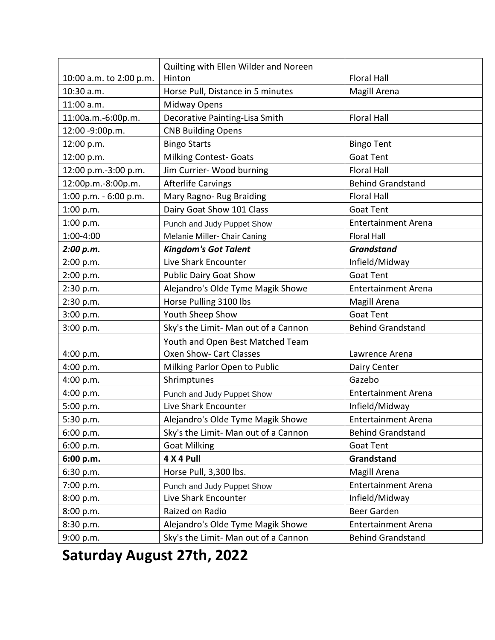|                         | Quilting with Ellen Wilder and Noreen |                            |
|-------------------------|---------------------------------------|----------------------------|
| 10:00 a.m. to 2:00 p.m. | Hinton                                | <b>Floral Hall</b>         |
| 10:30 a.m.              | Horse Pull, Distance in 5 minutes     | Magill Arena               |
| 11:00 a.m.              | Midway Opens                          |                            |
| 11:00a.m.-6:00p.m.      | Decorative Painting-Lisa Smith        | <b>Floral Hall</b>         |
| 12:00 -9:00p.m.         | <b>CNB Building Opens</b>             |                            |
| 12:00 p.m.              | <b>Bingo Starts</b>                   | <b>Bingo Tent</b>          |
| 12:00 p.m.              | <b>Milking Contest- Goats</b>         | <b>Goat Tent</b>           |
| 12:00 p.m.-3:00 p.m.    | Jim Currier- Wood burning             | <b>Floral Hall</b>         |
| 12:00p.m.-8:00p.m.      | <b>Afterlife Carvings</b>             | <b>Behind Grandstand</b>   |
| 1:00 p.m. - 6:00 p.m.   | Mary Ragno- Rug Braiding              | <b>Floral Hall</b>         |
| 1:00 p.m.               | Dairy Goat Show 101 Class             | <b>Goat Tent</b>           |
| 1:00 p.m.               | Punch and Judy Puppet Show            | <b>Entertainment Arena</b> |
| 1:00-4:00               | Melanie Miller- Chair Caning          | <b>Floral Hall</b>         |
| 2:00 p.m.               | <b>Kingdom's Got Talent</b>           | <b>Grandstand</b>          |
| 2:00 p.m.               | Live Shark Encounter                  | Infield/Midway             |
| 2:00 p.m.               | <b>Public Dairy Goat Show</b>         | <b>Goat Tent</b>           |
| 2:30 p.m.               | Alejandro's Olde Tyme Magik Showe     | <b>Entertainment Arena</b> |
| 2:30 p.m.               | Horse Pulling 3100 lbs                | Magill Arena               |
| 3:00 p.m.               | Youth Sheep Show                      | <b>Goat Tent</b>           |
| 3:00 p.m.               | Sky's the Limit- Man out of a Cannon  | <b>Behind Grandstand</b>   |
|                         | Youth and Open Best Matched Team      |                            |
| 4:00 p.m.               | Oxen Show- Cart Classes               | Lawrence Arena             |
| 4:00 p.m.               | Milking Parlor Open to Public         | Dairy Center               |
| 4:00 p.m.               | Shrimptunes                           | Gazebo                     |
| 4:00 p.m.               | Punch and Judy Puppet Show            | <b>Entertainment Arena</b> |
| 5:00 p.m.               | Live Shark Encounter                  | Infield/Midway             |
| 5:30 p.m.               | Alejandro's Olde Tyme Magik Showe     | <b>Entertainment Arena</b> |
| 6:00 p.m.               | Sky's the Limit- Man out of a Cannon  | <b>Behind Grandstand</b>   |
| 6:00 p.m.               | <b>Goat Milking</b>                   | Goat Tent                  |
| 6:00 p.m.               | 4 X 4 Pull                            | Grandstand                 |
| 6:30 p.m.               | Horse Pull, 3,300 lbs.                | Magill Arena               |
| 7:00 p.m.               | Punch and Judy Puppet Show            | <b>Entertainment Arena</b> |
| 8:00 p.m.               | Live Shark Encounter                  | Infield/Midway             |
| 8:00 p.m.               | Raized on Radio                       | <b>Beer Garden</b>         |
| 8:30 p.m.               | Alejandro's Olde Tyme Magik Showe     | <b>Entertainment Arena</b> |
| 9:00 p.m.               | Sky's the Limit- Man out of a Cannon  | <b>Behind Grandstand</b>   |

**Saturday August 27th, 2022**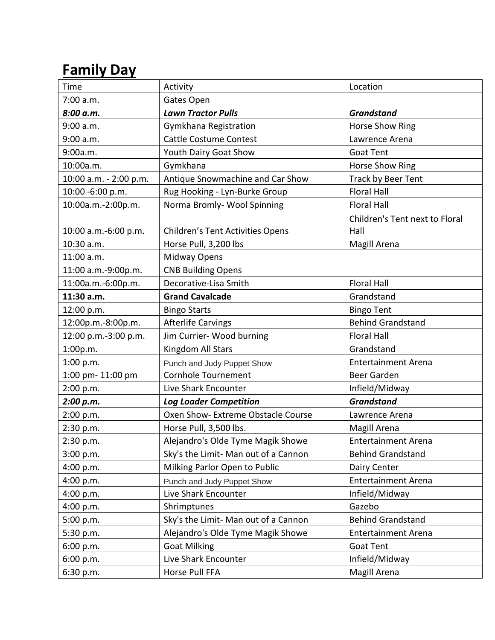## **Family Day**

| Time                   | Activity                                | Location                       |  |
|------------------------|-----------------------------------------|--------------------------------|--|
| 7:00 a.m.              | Gates Open                              |                                |  |
| 8:00 a.m.              | <b>Lawn Tractor Pulls</b>               | <b>Grandstand</b>              |  |
| 9:00 a.m.              | Gymkhana Registration                   | Horse Show Ring                |  |
| 9:00 a.m.              | <b>Cattle Costume Contest</b>           | Lawrence Arena                 |  |
| 9:00a.m.               | Youth Dairy Goat Show                   | <b>Goat Tent</b>               |  |
| 10:00a.m.              | Gymkhana                                | Horse Show Ring                |  |
| 10:00 a.m. - 2:00 p.m. | Antique Snowmachine and Car Show        | Track by Beer Tent             |  |
| 10:00 -6:00 p.m.       | Rug Hooking - Lyn-Burke Group           | <b>Floral Hall</b>             |  |
| 10:00a.m.-2:00p.m.     | Norma Bromly- Wool Spinning             | <b>Floral Hall</b>             |  |
|                        |                                         | Children's Tent next to Floral |  |
| 10:00 a.m.-6:00 p.m.   | <b>Children's Tent Activities Opens</b> | Hall                           |  |
| 10:30 a.m.             | Horse Pull, 3,200 lbs                   | Magill Arena                   |  |
| 11:00 a.m.             | Midway Opens                            |                                |  |
| 11:00 a.m.-9:00p.m.    | <b>CNB Building Opens</b>               |                                |  |
| 11:00a.m.-6:00p.m.     | Decorative-Lisa Smith                   | <b>Floral Hall</b>             |  |
| 11:30 a.m.             | <b>Grand Cavalcade</b>                  | Grandstand                     |  |
| 12:00 p.m.             | <b>Bingo Starts</b>                     | <b>Bingo Tent</b>              |  |
| 12:00p.m.-8:00p.m.     | <b>Afterlife Carvings</b>               | <b>Behind Grandstand</b>       |  |
| 12:00 p.m.-3:00 p.m.   | Jim Currier- Wood burning               | <b>Floral Hall</b>             |  |
| 1:00p.m.               | Kingdom All Stars                       | Grandstand                     |  |
| 1:00 p.m.              | Punch and Judy Puppet Show              | <b>Entertainment Arena</b>     |  |
| 1:00 pm-11:00 pm       | Cornhole Tournement                     | Beer Garden                    |  |
| 2:00 p.m.              | Live Shark Encounter                    | Infield/Midway                 |  |
| 2:00 p.m.              | <b>Log Loader Competition</b>           | <b>Grandstand</b>              |  |
| 2:00 p.m.              | Oxen Show- Extreme Obstacle Course      | Lawrence Arena                 |  |
| 2:30 p.m.              | Horse Pull, 3,500 lbs.                  | Magill Arena                   |  |
| 2:30 p.m.              | Alejandro's Olde Tyme Magik Showe       | <b>Entertainment Arena</b>     |  |
| 3:00 p.m.              | Sky's the Limit- Man out of a Cannon    | <b>Behind Grandstand</b>       |  |
| 4:00 p.m.              | Milking Parlor Open to Public           | Dairy Center                   |  |
| 4:00 p.m.              | Punch and Judy Puppet Show              | <b>Entertainment Arena</b>     |  |
| 4:00 p.m.              | Live Shark Encounter                    | Infield/Midway                 |  |
| 4:00 p.m.              | Shrimptunes                             | Gazebo                         |  |
| 5:00 p.m.              | Sky's the Limit- Man out of a Cannon    | <b>Behind Grandstand</b>       |  |
| 5:30 p.m.              | Alejandro's Olde Tyme Magik Showe       | <b>Entertainment Arena</b>     |  |
| 6:00 p.m.              | <b>Goat Milking</b>                     | Goat Tent                      |  |
| 6:00 p.m.              | Live Shark Encounter                    | Infield/Midway                 |  |
| 6:30 p.m.              | Horse Pull FFA                          | Magill Arena                   |  |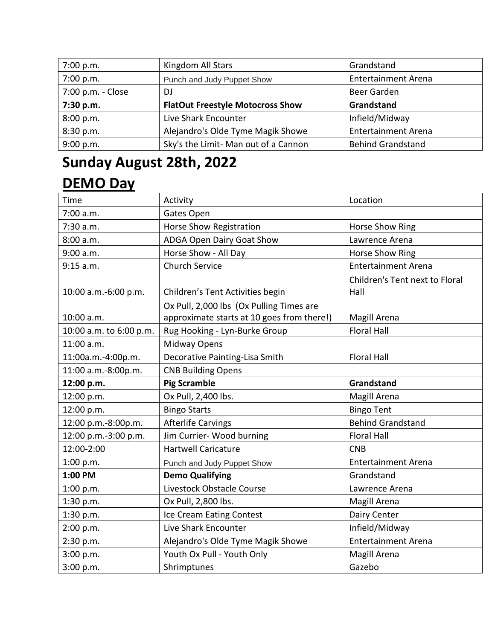| 7:00 p.m.         | Kingdom All Stars                       | Grandstand                 |
|-------------------|-----------------------------------------|----------------------------|
| 7:00 p.m.         | Punch and Judy Puppet Show              | <b>Entertainment Arena</b> |
| 7:00 p.m. - Close | D.                                      | Beer Garden                |
| 7:30 p.m.         | <b>FlatOut Freestyle Motocross Show</b> | Grandstand                 |
| 8:00 p.m.         | Live Shark Encounter                    | Infield/Midway             |
| 8:30 p.m.         | Alejandro's Olde Tyme Magik Showe       | <b>Entertainment Arena</b> |
| 9:00 p.m.         | Sky's the Limit- Man out of a Cannon    | <b>Behind Grandstand</b>   |

## **Sunday August 28th, 2022 DEMO Day**

| Time                    | Activity                                   | Location                       |
|-------------------------|--------------------------------------------|--------------------------------|
| 7:00 a.m.               | Gates Open                                 |                                |
| 7:30 a.m.               | Horse Show Registration                    | Horse Show Ring                |
| 8:00 a.m.               | ADGA Open Dairy Goat Show                  | Lawrence Arena                 |
| 9:00 a.m.               | Horse Show - All Day                       | Horse Show Ring                |
| 9:15 a.m.               | <b>Church Service</b>                      | <b>Entertainment Arena</b>     |
|                         |                                            | Children's Tent next to Floral |
| 10:00 a.m.-6:00 p.m.    | Children's Tent Activities begin           | Hall                           |
|                         | Ox Pull, 2,000 lbs (Ox Pulling Times are   |                                |
| 10:00 a.m.              | approximate starts at 10 goes from there!) | Magill Arena                   |
| 10:00 a.m. to 6:00 p.m. | Rug Hooking - Lyn-Burke Group              | <b>Floral Hall</b>             |
| 11:00 a.m.              | Midway Opens                               |                                |
| 11:00a.m.-4:00p.m.      | Decorative Painting-Lisa Smith             | <b>Floral Hall</b>             |
| 11:00 a.m.-8:00p.m.     | <b>CNB Building Opens</b>                  |                                |
| 12:00 p.m.              | <b>Pig Scramble</b>                        | Grandstand                     |
| 12:00 p.m.              | Ox Pull, 2,400 lbs.                        | Magill Arena                   |
| 12:00 p.m.              | <b>Bingo Starts</b>                        | <b>Bingo Tent</b>              |
| 12:00 p.m.-8:00p.m.     | <b>Afterlife Carvings</b>                  | <b>Behind Grandstand</b>       |
| 12:00 p.m.-3:00 p.m.    | Jim Currier- Wood burning                  | <b>Floral Hall</b>             |
| 12:00-2:00              | <b>Hartwell Caricature</b>                 | <b>CNB</b>                     |
| 1:00 p.m.               | Punch and Judy Puppet Show                 | <b>Entertainment Arena</b>     |
| 1:00 PM                 | <b>Demo Qualifying</b>                     | Grandstand                     |
| 1:00 p.m.               | Livestock Obstacle Course                  | Lawrence Arena                 |
| 1:30 p.m.               | Ox Pull, 2,800 lbs.                        | Magill Arena                   |
| 1:30 p.m.               | Ice Cream Eating Contest                   | Dairy Center                   |
| 2:00 p.m.               | Live Shark Encounter                       | Infield/Midway                 |
| 2:30 p.m.               | Alejandro's Olde Tyme Magik Showe          | <b>Entertainment Arena</b>     |
| 3:00 p.m.               | Youth Ox Pull - Youth Only                 | Magill Arena                   |
| 3:00 p.m.               | Shrimptunes                                | Gazebo                         |